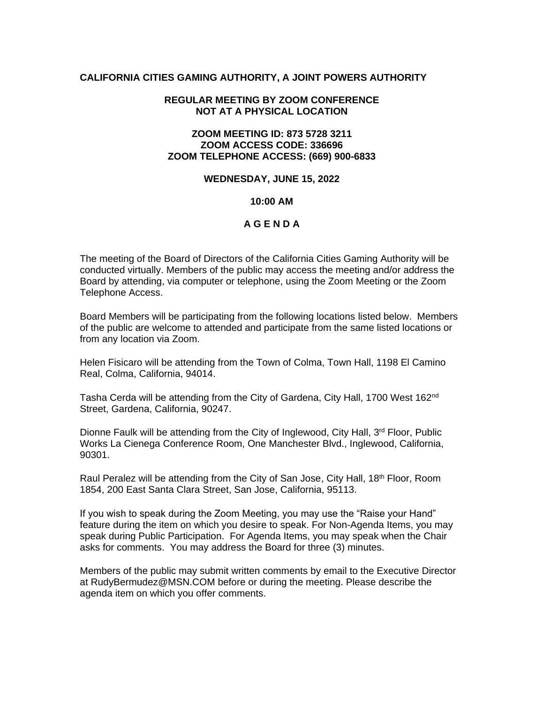### **CALIFORNIA CITIES GAMING AUTHORITY, A JOINT POWERS AUTHORITY**

### **REGULAR MEETING BY ZOOM CONFERENCE NOT AT A PHYSICAL LOCATION**

## **ZOOM MEETING ID: 873 5728 3211 ZOOM ACCESS CODE: 336696 ZOOM TELEPHONE ACCESS: (669) 900-6833**

#### **WEDNESDAY, JUNE 15, 2022**

### **10:00 AM**

## **A G E N D A**

The meeting of the Board of Directors of the California Cities Gaming Authority will be conducted virtually. Members of the public may access the meeting and/or address the Board by attending, via computer or telephone, using the Zoom Meeting or the Zoom Telephone Access.

Board Members will be participating from the following locations listed below. Members of the public are welcome to attended and participate from the same listed locations or from any location via Zoom.

Helen Fisicaro will be attending from the Town of Colma, Town Hall, 1198 El Camino Real, Colma, California, 94014.

Tasha Cerda will be attending from the City of Gardena, City Hall, 1700 West 162<sup>nd</sup> Street, Gardena, California, 90247.

Dionne Faulk will be attending from the City of Inglewood, City Hall, 3<sup>rd</sup> Floor, Public Works La Cienega Conference Room, One Manchester Blvd., Inglewood, California, 90301.

Raul Peralez will be attending from the City of San Jose, City Hall, 18<sup>th</sup> Floor, Room 1854, 200 East Santa Clara Street, San Jose, California, 95113.

If you wish to speak during the Zoom Meeting, you may use the "Raise your Hand" feature during the item on which you desire to speak. For Non-Agenda Items, you may speak during Public Participation. For Agenda Items, you may speak when the Chair asks for comments. You may address the Board for three (3) minutes.

Members of the public may submit written comments by email to the Executive Director at RudyBermudez@MSN.COM before or during the meeting. Please describe the agenda item on which you offer comments.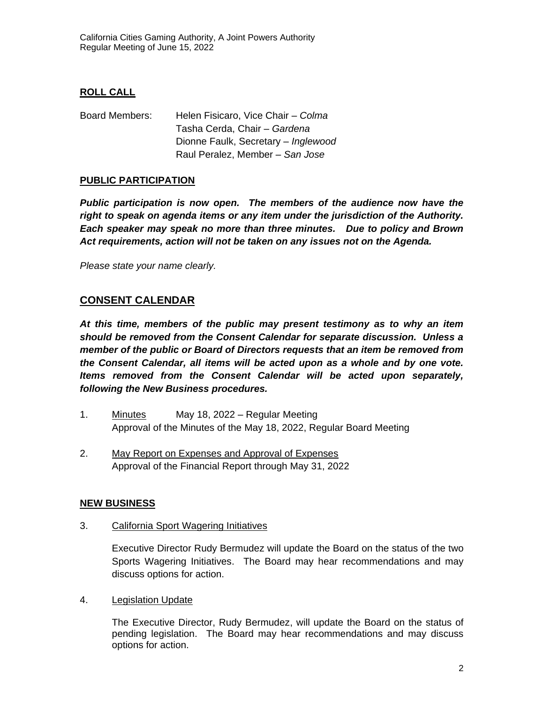# **ROLL CALL**

Board Members: Helen Fisicaro, Vice Chair – *Colma*  Tasha Cerda, Chair *– Gardena*  Dionne Faulk, Secretary – *Inglewood* Raul Peralez, Member – *San Jose*

# **PUBLIC PARTICIPATION**

*Public participation is now open. The members of the audience now have the right to speak on agenda items or any item under the jurisdiction of the Authority. Each speaker may speak no more than three minutes. Due to policy and Brown Act requirements, action will not be taken on any issues not on the Agenda.*

*Please state your name clearly.*

# **CONSENT CALENDAR**

*At this time, members of the public may present testimony as to why an item should be removed from the Consent Calendar for separate discussion. Unless a member of the public or Board of Directors requests that an item be removed from the Consent Calendar, all items will be acted upon as a whole and by one vote. Items removed from the Consent Calendar will be acted upon separately, following the New Business procedures.*

- 1. Minutes May 18, 2022 Regular Meeting Approval of the Minutes of the May 18, 2022, Regular Board Meeting
- 2. May Report on Expenses and Approval of Expenses Approval of the Financial Report through May 31, 2022

### **NEW BUSINESS**

3. California Sport Wagering Initiatives

Executive Director Rudy Bermudez will update the Board on the status of the two Sports Wagering Initiatives. The Board may hear recommendations and may discuss options for action.

4. Legislation Update

The Executive Director, Rudy Bermudez, will update the Board on the status of pending legislation. The Board may hear recommendations and may discuss options for action.